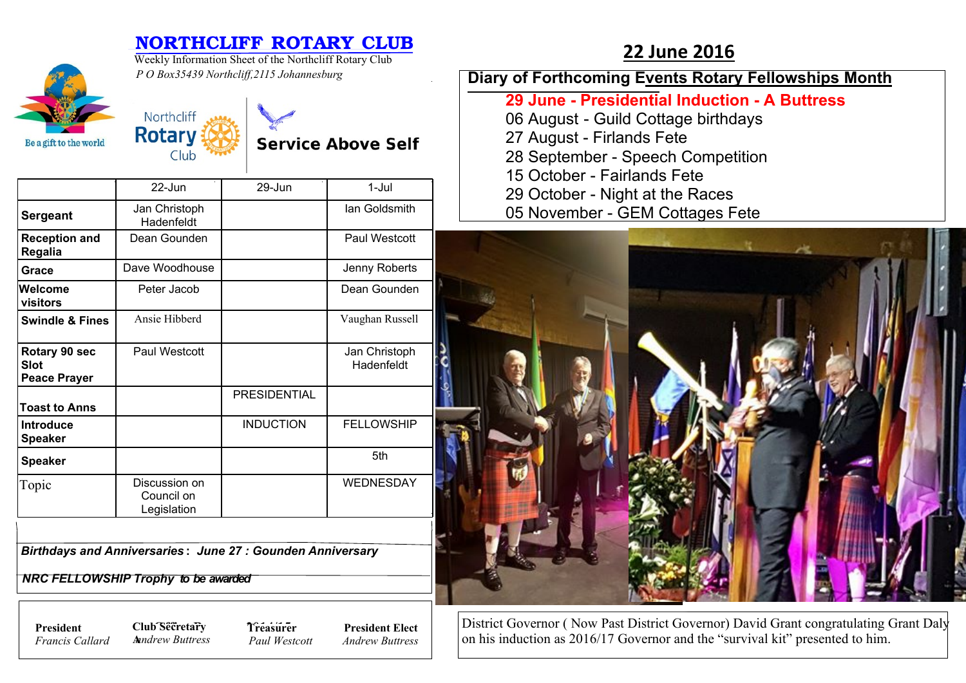|                                                     | <b>NORTHCLIFF ROTARY CLUB</b><br>Weekly Information Sheet of the Northcliff Rotary Club<br>P O Box35439 Northcliff, 2115 Johannesburg |                  |                             | <b>22 June 2016</b>                                                                                                                                                                   |
|-----------------------------------------------------|---------------------------------------------------------------------------------------------------------------------------------------|------------------|-----------------------------|---------------------------------------------------------------------------------------------------------------------------------------------------------------------------------------|
|                                                     |                                                                                                                                       |                  |                             | Diary of Forthcoming Events Rotary Fellowships Month                                                                                                                                  |
| Be a gift to the world                              | Northcliff<br><b>Rotary</b><br><b>Service Above Self</b><br>Club                                                                      |                  |                             | 29 June - Presidential Induction - A Buttress<br>06 August - Guild Cottage birthdays<br>27 August - Firlands Fete<br>28 September - Speech Competition<br>15 October - Fairlands Fete |
|                                                     | 22-Jun                                                                                                                                | 29-Jun           | $1-Jul$                     | 29 October - Night at the Races                                                                                                                                                       |
| <b>Sergeant</b>                                     | Jan Christoph<br>Hadenfeldt                                                                                                           |                  | lan Goldsmith               | 05 November - GEM Cottages Fete                                                                                                                                                       |
| <b>Reception and</b><br>Regalia                     | Dean Gounden                                                                                                                          |                  | Paul Westcott               |                                                                                                                                                                                       |
| Grace                                               | Dave Woodhouse                                                                                                                        |                  | Jenny Roberts               |                                                                                                                                                                                       |
| Welcome<br>visitors                                 | Peter Jacob                                                                                                                           |                  | Dean Gounden                |                                                                                                                                                                                       |
| <b>Swindle &amp; Fines</b>                          | Ansie Hibberd                                                                                                                         |                  | Vaughan Russell             |                                                                                                                                                                                       |
| Rotary 90 sec<br><b>Slot</b><br><b>Peace Prayer</b> | Paul Westcott                                                                                                                         |                  | Jan Christoph<br>Hadenfeldt |                                                                                                                                                                                       |
| <b>Toast to Anns</b>                                |                                                                                                                                       | PRESIDENTIAL     |                             |                                                                                                                                                                                       |
| Introduce<br><b>Speaker</b>                         |                                                                                                                                       | <b>INDUCTION</b> | <b>FELLOWSHIP</b>           |                                                                                                                                                                                       |
| <b>Speaker</b>                                      |                                                                                                                                       |                  | 5th                         |                                                                                                                                                                                       |
| Topic                                               | Discussion on<br>Council on<br>Legislation                                                                                            |                  | WEDNESDAY                   |                                                                                                                                                                                       |
|                                                     | <b>Birthdays and Anniversaries: June 27: Gounden Anniversary</b><br>$UBA FFI I AUIAIIB F L. L. L. L. $                                |                  |                             |                                                                                                                                                                                       |

 *NRC FELLOWSHIP Trophy to be awarded*

*Francis Callard*

**President Club Secretary 7** *Treasure* **A***nndrew Buttress*

**Treasurer** *Paul Westcott*

**President Elect** *Andrew Buttress*

District Governor ( Now Past District Governor) David Grant congratulating Grant Daly on his induction as 2016/17 Governor and the "survival kit" presented to him.

n.

**Mary** 

**PASS** 

 $\blacksquare$